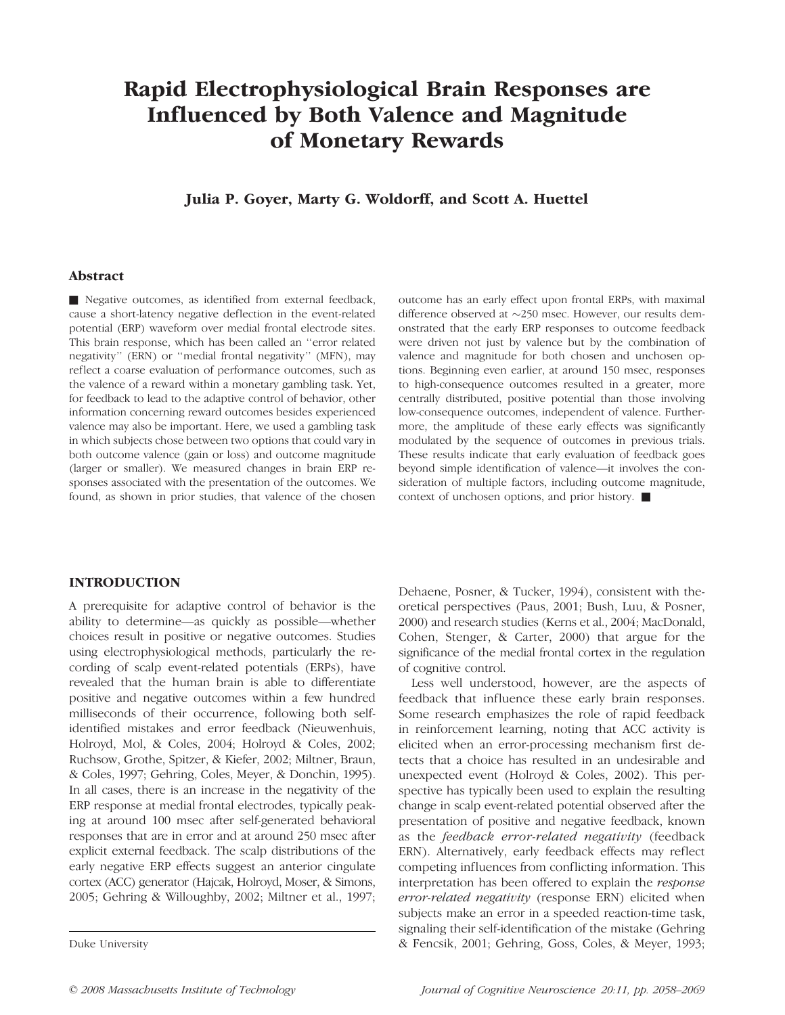# Rapid Electrophysiological Brain Responses are Influenced by Both Valence and Magnitude of Monetary Rewards

Julia P. Goyer, Marty G. Woldorff, and Scott A. Huettel

## Abstract

Regative outcomes, as identified from external feedback, cause a short-latency negative deflection in the event-related potential (ERP) waveform over medial frontal electrode sites. This brain response, which has been called an ''error related negativity'' (ERN) or ''medial frontal negativity'' (MFN), may reflect a coarse evaluation of performance outcomes, such as the valence of a reward within a monetary gambling task. Yet, for feedback to lead to the adaptive control of behavior, other information concerning reward outcomes besides experienced valence may also be important. Here, we used a gambling task in which subjects chose between two options that could vary in both outcome valence (gain or loss) and outcome magnitude (larger or smaller). We measured changes in brain ERP responses associated with the presentation of the outcomes. We found, as shown in prior studies, that valence of the chosen outcome has an early effect upon frontal ERPs, with maximal difference observed at  $\sim$ 250 msec. However, our results demonstrated that the early ERP responses to outcome feedback were driven not just by valence but by the combination of valence and magnitude for both chosen and unchosen options. Beginning even earlier, at around 150 msec, responses to high-consequence outcomes resulted in a greater, more centrally distributed, positive potential than those involving low-consequence outcomes, independent of valence. Furthermore, the amplitude of these early effects was significantly modulated by the sequence of outcomes in previous trials. These results indicate that early evaluation of feedback goes beyond simple identification of valence—it involves the consideration of multiple factors, including outcome magnitude, context of unchosen options, and prior history.  $\blacksquare$ 

#### INTRODUCTION

A prerequisite for adaptive control of behavior is the ability to determine—as quickly as possible—whether choices result in positive or negative outcomes. Studies using electrophysiological methods, particularly the recording of scalp event-related potentials (ERPs), have revealed that the human brain is able to differentiate positive and negative outcomes within a few hundred milliseconds of their occurrence, following both selfidentified mistakes and error feedback (Nieuwenhuis, Holroyd, Mol, & Coles, 2004; Holroyd & Coles, 2002; Ruchsow, Grothe, Spitzer, & Kiefer, 2002; Miltner, Braun, & Coles, 1997; Gehring, Coles, Meyer, & Donchin, 1995). In all cases, there is an increase in the negativity of the ERP response at medial frontal electrodes, typically peaking at around 100 msec after self-generated behavioral responses that are in error and at around 250 msec after explicit external feedback. The scalp distributions of the early negative ERP effects suggest an anterior cingulate cortex (ACC) generator (Hajcak, Holroyd, Moser, & Simons, 2005; Gehring & Willoughby, 2002; Miltner et al., 1997;

Dehaene, Posner, & Tucker, 1994), consistent with theoretical perspectives (Paus, 2001; Bush, Luu, & Posner, 2000) and research studies (Kerns et al., 2004; MacDonald, Cohen, Stenger, & Carter, 2000) that argue for the significance of the medial frontal cortex in the regulation of cognitive control.

Less well understood, however, are the aspects of feedback that influence these early brain responses. Some research emphasizes the role of rapid feedback in reinforcement learning, noting that ACC activity is elicited when an error-processing mechanism first detects that a choice has resulted in an undesirable and unexpected event (Holroyd & Coles, 2002). This perspective has typically been used to explain the resulting change in scalp event-related potential observed after the presentation of positive and negative feedback, known as the feedback error-related negativity (feedback ERN). Alternatively, early feedback effects may reflect competing influences from conflicting information. This interpretation has been offered to explain the response error-related negativity (response ERN) elicited when subjects make an error in a speeded reaction-time task, signaling their self-identification of the mistake (Gehring Duke University & Fencsik, 2001; Gehring, Goss, Coles, & Meyer, 1993;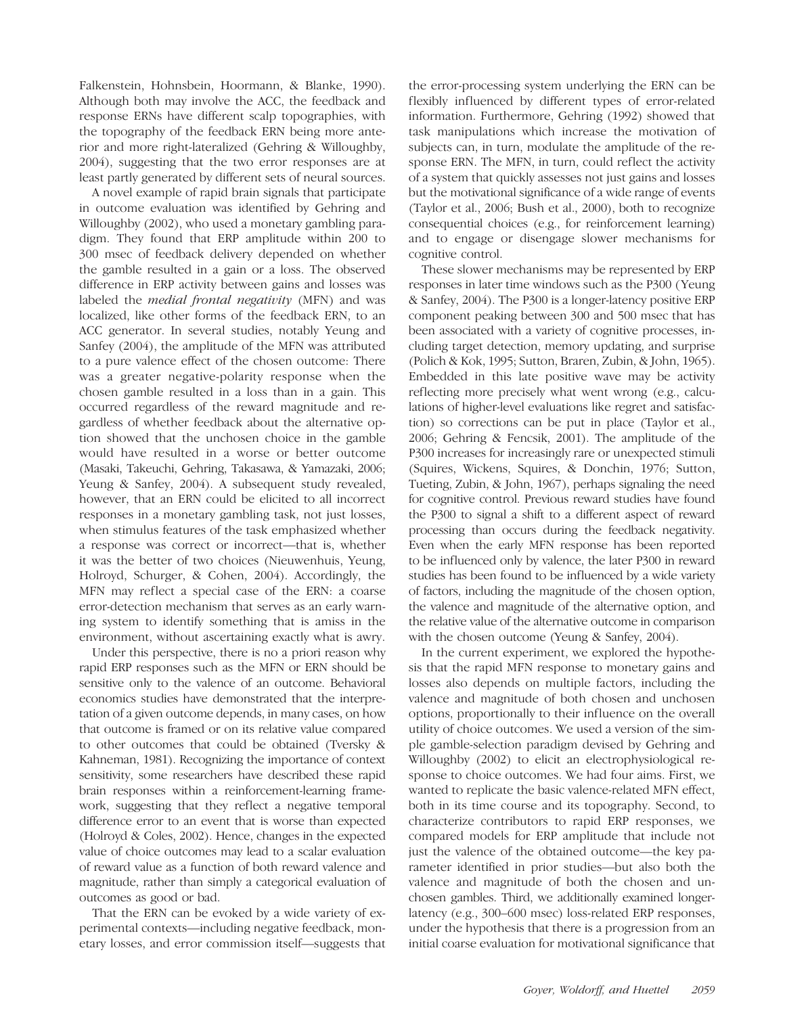Falkenstein, Hohnsbein, Hoormann, & Blanke, 1990). Although both may involve the ACC, the feedback and response ERNs have different scalp topographies, with the topography of the feedback ERN being more anterior and more right-lateralized (Gehring & Willoughby, 2004), suggesting that the two error responses are at least partly generated by different sets of neural sources.

A novel example of rapid brain signals that participate in outcome evaluation was identified by Gehring and Willoughby (2002), who used a monetary gambling paradigm. They found that ERP amplitude within 200 to 300 msec of feedback delivery depended on whether the gamble resulted in a gain or a loss. The observed difference in ERP activity between gains and losses was labeled the *medial frontal negativity* (MFN) and was localized, like other forms of the feedback ERN, to an ACC generator. In several studies, notably Yeung and Sanfey (2004), the amplitude of the MFN was attributed to a pure valence effect of the chosen outcome: There was a greater negative-polarity response when the chosen gamble resulted in a loss than in a gain. This occurred regardless of the reward magnitude and regardless of whether feedback about the alternative option showed that the unchosen choice in the gamble would have resulted in a worse or better outcome (Masaki, Takeuchi, Gehring, Takasawa, & Yamazaki, 2006; Yeung & Sanfey, 2004). A subsequent study revealed, however, that an ERN could be elicited to all incorrect responses in a monetary gambling task, not just losses, when stimulus features of the task emphasized whether a response was correct or incorrect—that is, whether it was the better of two choices (Nieuwenhuis, Yeung, Holroyd, Schurger, & Cohen, 2004). Accordingly, the MFN may reflect a special case of the ERN: a coarse error-detection mechanism that serves as an early warning system to identify something that is amiss in the environment, without ascertaining exactly what is awry.

Under this perspective, there is no a priori reason why rapid ERP responses such as the MFN or ERN should be sensitive only to the valence of an outcome. Behavioral economics studies have demonstrated that the interpretation of a given outcome depends, in many cases, on how that outcome is framed or on its relative value compared to other outcomes that could be obtained (Tversky & Kahneman, 1981). Recognizing the importance of context sensitivity, some researchers have described these rapid brain responses within a reinforcement-learning framework, suggesting that they reflect a negative temporal difference error to an event that is worse than expected (Holroyd & Coles, 2002). Hence, changes in the expected value of choice outcomes may lead to a scalar evaluation of reward value as a function of both reward valence and magnitude, rather than simply a categorical evaluation of outcomes as good or bad.

That the ERN can be evoked by a wide variety of experimental contexts—including negative feedback, monetary losses, and error commission itself—suggests that the error-processing system underlying the ERN can be flexibly influenced by different types of error-related information. Furthermore, Gehring (1992) showed that task manipulations which increase the motivation of subjects can, in turn, modulate the amplitude of the response ERN. The MFN, in turn, could reflect the activity of a system that quickly assesses not just gains and losses but the motivational significance of a wide range of events (Taylor et al., 2006; Bush et al., 2000), both to recognize consequential choices (e.g., for reinforcement learning) and to engage or disengage slower mechanisms for cognitive control.

These slower mechanisms may be represented by ERP responses in later time windows such as the P300 (Yeung & Sanfey, 2004). The P300 is a longer-latency positive ERP component peaking between 300 and 500 msec that has been associated with a variety of cognitive processes, including target detection, memory updating, and surprise (Polich & Kok, 1995; Sutton, Braren, Zubin, & John, 1965). Embedded in this late positive wave may be activity reflecting more precisely what went wrong (e.g., calculations of higher-level evaluations like regret and satisfaction) so corrections can be put in place (Taylor et al., 2006; Gehring & Fencsik, 2001). The amplitude of the P300 increases for increasingly rare or unexpected stimuli (Squires, Wickens, Squires, & Donchin, 1976; Sutton, Tueting, Zubin, & John, 1967), perhaps signaling the need for cognitive control. Previous reward studies have found the P300 to signal a shift to a different aspect of reward processing than occurs during the feedback negativity. Even when the early MFN response has been reported to be influenced only by valence, the later P300 in reward studies has been found to be influenced by a wide variety of factors, including the magnitude of the chosen option, the valence and magnitude of the alternative option, and the relative value of the alternative outcome in comparison with the chosen outcome (Yeung & Sanfey, 2004).

In the current experiment, we explored the hypothesis that the rapid MFN response to monetary gains and losses also depends on multiple factors, including the valence and magnitude of both chosen and unchosen options, proportionally to their influence on the overall utility of choice outcomes. We used a version of the simple gamble-selection paradigm devised by Gehring and Willoughby (2002) to elicit an electrophysiological response to choice outcomes. We had four aims. First, we wanted to replicate the basic valence-related MFN effect, both in its time course and its topography. Second, to characterize contributors to rapid ERP responses, we compared models for ERP amplitude that include not just the valence of the obtained outcome—the key parameter identified in prior studies—but also both the valence and magnitude of both the chosen and unchosen gambles. Third, we additionally examined longerlatency (e.g., 300–600 msec) loss-related ERP responses, under the hypothesis that there is a progression from an initial coarse evaluation for motivational significance that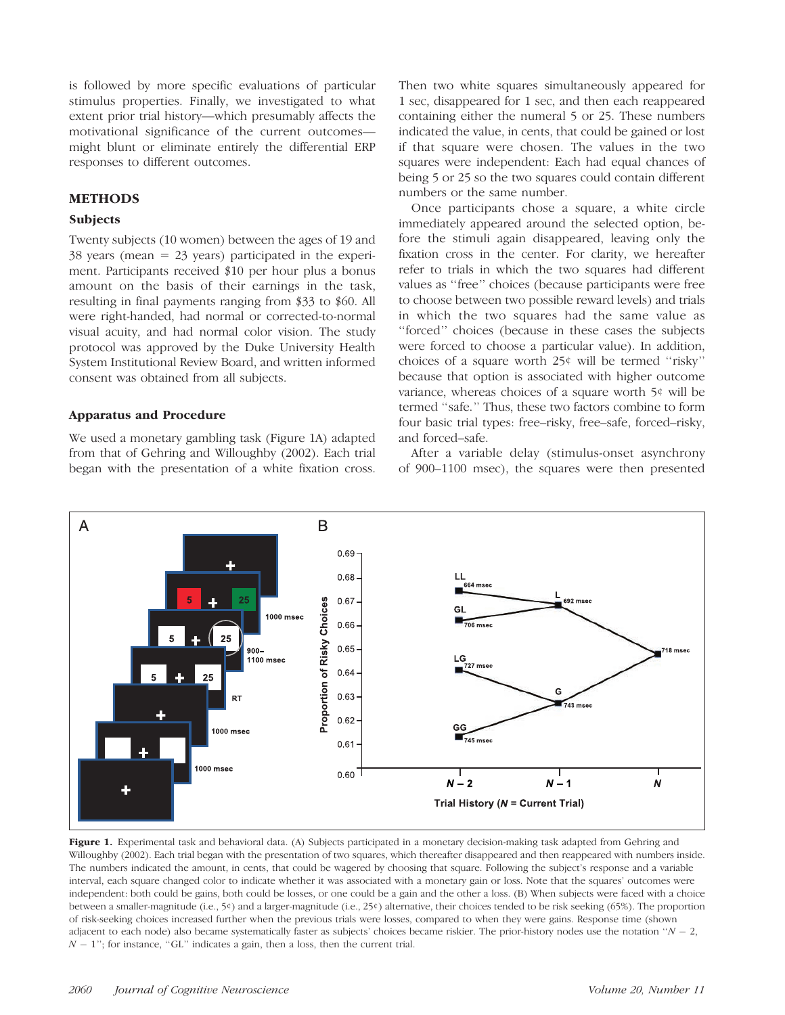is followed by more specific evaluations of particular stimulus properties. Finally, we investigated to what extent prior trial history—which presumably affects the motivational significance of the current outcomes might blunt or eliminate entirely the differential ERP responses to different outcomes.

### METHODS

#### Subjects

Twenty subjects (10 women) between the ages of 19 and 38 years (mean = 23 years) participated in the experiment. Participants received \$10 per hour plus a bonus amount on the basis of their earnings in the task, resulting in final payments ranging from \$33 to \$60. All were right-handed, had normal or corrected-to-normal visual acuity, and had normal color vision. The study protocol was approved by the Duke University Health System Institutional Review Board, and written informed consent was obtained from all subjects.

#### Apparatus and Procedure

We used a monetary gambling task (Figure 1A) adapted from that of Gehring and Willoughby (2002). Each trial began with the presentation of a white fixation cross.

Then two white squares simultaneously appeared for 1 sec, disappeared for 1 sec, and then each reappeared containing either the numeral 5 or 25. These numbers indicated the value, in cents, that could be gained or lost if that square were chosen. The values in the two squares were independent: Each had equal chances of being 5 or 25 so the two squares could contain different numbers or the same number.

Once participants chose a square, a white circle immediately appeared around the selected option, before the stimuli again disappeared, leaving only the fixation cross in the center. For clarity, we hereafter refer to trials in which the two squares had different values as ''free'' choices (because participants were free to choose between two possible reward levels) and trials in which the two squares had the same value as ''forced'' choices (because in these cases the subjects were forced to choose a particular value). In addition, choices of a square worth 25¢ will be termed ''risky'' because that option is associated with higher outcome variance, whereas choices of a square worth 5¢ will be termed ''safe.'' Thus, these two factors combine to form four basic trial types: free–risky, free–safe, forced–risky, and forced–safe.

After a variable delay (stimulus-onset asynchrony of 900–1100 msec), the squares were then presented



Figure 1. Experimental task and behavioral data. (A) Subjects participated in a monetary decision-making task adapted from Gehring and Willoughby (2002). Each trial began with the presentation of two squares, which thereafter disappeared and then reappeared with numbers inside. The numbers indicated the amount, in cents, that could be wagered by choosing that square. Following the subject's response and a variable interval, each square changed color to indicate whether it was associated with a monetary gain or loss. Note that the squares' outcomes were independent: both could be gains, both could be losses, or one could be a gain and the other a loss. (B) When subjects were faced with a choice between a smaller-magnitude (i.e., 5¢) and a larger-magnitude (i.e., 25¢) alternative, their choices tended to be risk seeking (65%). The proportion of risk-seeking choices increased further when the previous trials were losses, compared to when they were gains. Response time (shown adjacent to each node) also became systematically faster as subjects' choices became riskier. The prior-history nodes use the notation " $N - 2$ ,  $N-1$ "; for instance, "GL" indicates a gain, then a loss, then the current trial.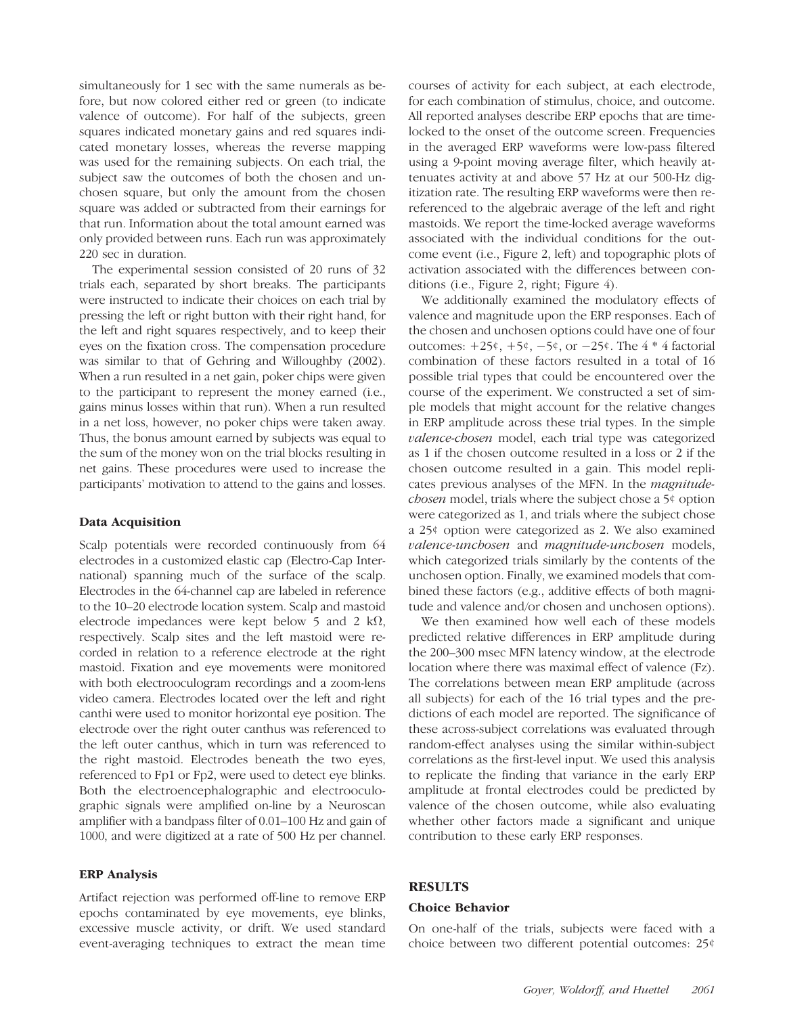simultaneously for 1 sec with the same numerals as before, but now colored either red or green (to indicate valence of outcome). For half of the subjects, green squares indicated monetary gains and red squares indicated monetary losses, whereas the reverse mapping was used for the remaining subjects. On each trial, the subject saw the outcomes of both the chosen and unchosen square, but only the amount from the chosen square was added or subtracted from their earnings for that run. Information about the total amount earned was only provided between runs. Each run was approximately 220 sec in duration.

The experimental session consisted of 20 runs of 32 trials each, separated by short breaks. The participants were instructed to indicate their choices on each trial by pressing the left or right button with their right hand, for the left and right squares respectively, and to keep their eyes on the fixation cross. The compensation procedure was similar to that of Gehring and Willoughby (2002). When a run resulted in a net gain, poker chips were given to the participant to represent the money earned (i.e., gains minus losses within that run). When a run resulted in a net loss, however, no poker chips were taken away. Thus, the bonus amount earned by subjects was equal to the sum of the money won on the trial blocks resulting in net gains. These procedures were used to increase the participants' motivation to attend to the gains and losses.

#### Data Acquisition

Scalp potentials were recorded continuously from 64 electrodes in a customized elastic cap (Electro-Cap International) spanning much of the surface of the scalp. Electrodes in the 64-channel cap are labeled in reference to the 10–20 electrode location system. Scalp and mastoid electrode impedances were kept below 5 and 2 k $\Omega$ , respectively. Scalp sites and the left mastoid were recorded in relation to a reference electrode at the right mastoid. Fixation and eye movements were monitored with both electrooculogram recordings and a zoom-lens video camera. Electrodes located over the left and right canthi were used to monitor horizontal eye position. The electrode over the right outer canthus was referenced to the left outer canthus, which in turn was referenced to the right mastoid. Electrodes beneath the two eyes, referenced to Fp1 or Fp2, were used to detect eye blinks. Both the electroencephalographic and electrooculographic signals were amplified on-line by a Neuroscan amplifier with a bandpass filter of 0.01–100 Hz and gain of 1000, and were digitized at a rate of 500 Hz per channel.

#### ERP Analysis

Artifact rejection was performed off-line to remove ERP epochs contaminated by eye movements, eye blinks, excessive muscle activity, or drift. We used standard event-averaging techniques to extract the mean time

courses of activity for each subject, at each electrode, for each combination of stimulus, choice, and outcome. All reported analyses describe ERP epochs that are timelocked to the onset of the outcome screen. Frequencies in the averaged ERP waveforms were low-pass filtered using a 9-point moving average filter, which heavily attenuates activity at and above 57 Hz at our 500-Hz digitization rate. The resulting ERP waveforms were then rereferenced to the algebraic average of the left and right mastoids. We report the time-locked average waveforms associated with the individual conditions for the outcome event (i.e., Figure 2, left) and topographic plots of activation associated with the differences between conditions (i.e., Figure 2, right; Figure 4).

We additionally examined the modulatory effects of valence and magnitude upon the ERP responses. Each of the chosen and unchosen options could have one of four outcomes: +25¢, +5¢, -5¢, or -25¢. The 4 \* 4 factorial combination of these factors resulted in a total of 16 possible trial types that could be encountered over the course of the experiment. We constructed a set of simple models that might account for the relative changes in ERP amplitude across these trial types. In the simple valence-chosen model, each trial type was categorized as 1 if the chosen outcome resulted in a loss or 2 if the chosen outcome resulted in a gain. This model replicates previous analyses of the MFN. In the magnitudechosen model, trials where the subject chose a 5¢ option were categorized as 1, and trials where the subject chose a 25¢ option were categorized as 2. We also examined valence-unchosen and magnitude-unchosen models, which categorized trials similarly by the contents of the unchosen option. Finally, we examined models that combined these factors (e.g., additive effects of both magnitude and valence and/or chosen and unchosen options).

We then examined how well each of these models predicted relative differences in ERP amplitude during the 200–300 msec MFN latency window, at the electrode location where there was maximal effect of valence (Fz). The correlations between mean ERP amplitude (across all subjects) for each of the 16 trial types and the predictions of each model are reported. The significance of these across-subject correlations was evaluated through random-effect analyses using the similar within-subject correlations as the first-level input. We used this analysis to replicate the finding that variance in the early ERP amplitude at frontal electrodes could be predicted by valence of the chosen outcome, while also evaluating whether other factors made a significant and unique contribution to these early ERP responses.

## RESULTS

#### Choice Behavior

On one-half of the trials, subjects were faced with a choice between two different potential outcomes: 25¢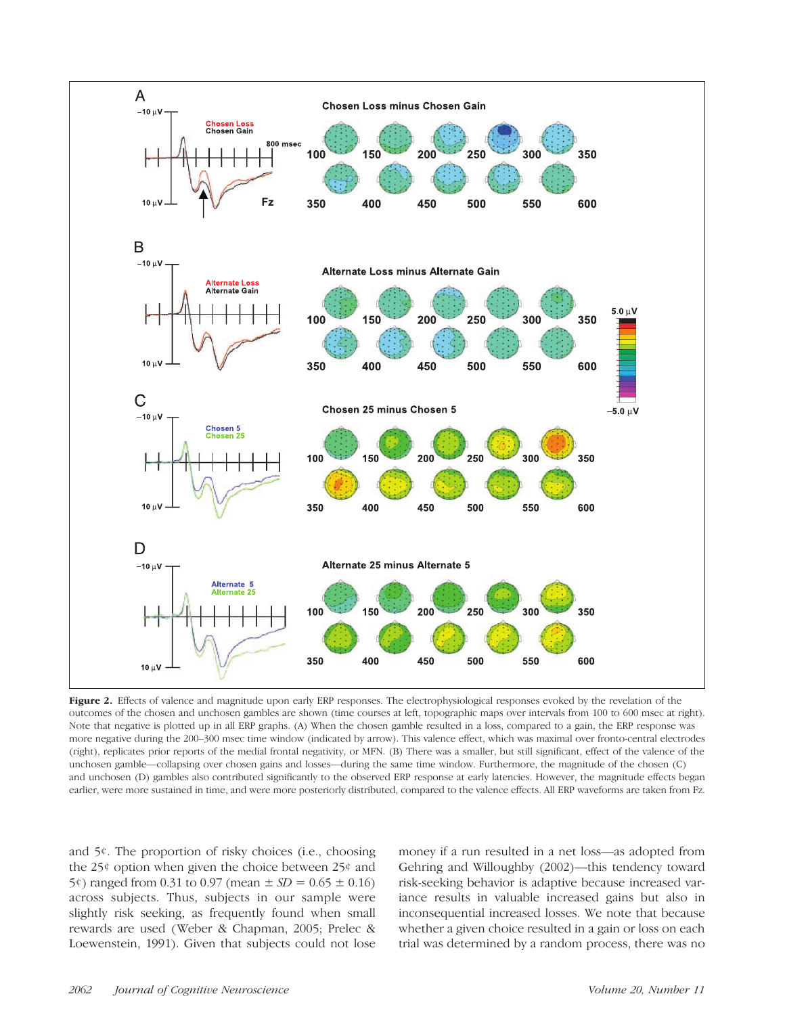

Figure 2. Effects of valence and magnitude upon early ERP responses. The electrophysiological responses evoked by the revelation of the outcomes of the chosen and unchosen gambles are shown (time courses at left, topographic maps over intervals from 100 to 600 msec at right). Note that negative is plotted up in all ERP graphs. (A) When the chosen gamble resulted in a loss, compared to a gain, the ERP response was more negative during the 200–300 msec time window (indicated by arrow). This valence effect, which was maximal over fronto-central electrodes (right), replicates prior reports of the medial frontal negativity, or MFN. (B) There was a smaller, but still significant, effect of the valence of the unchosen gamble—collapsing over chosen gains and losses—during the same time window. Furthermore, the magnitude of the chosen (C) and unchosen (D) gambles also contributed significantly to the observed ERP response at early latencies. However, the magnitude effects began earlier, were more sustained in time, and were more posteriorly distributed, compared to the valence effects. All ERP waveforms are taken from Fz.

and 5¢. The proportion of risky choices (i.e., choosing the 25¢ option when given the choice between 25¢ and 5 $\phi$ ) ranged from 0.31 to 0.97 (mean  $\pm SD = 0.65 \pm 0.16$ ) across subjects. Thus, subjects in our sample were slightly risk seeking, as frequently found when small rewards are used (Weber & Chapman, 2005; Prelec & Loewenstein, 1991). Given that subjects could not lose

money if a run resulted in a net loss—as adopted from Gehring and Willoughby (2002)—this tendency toward risk-seeking behavior is adaptive because increased variance results in valuable increased gains but also in inconsequential increased losses. We note that because whether a given choice resulted in a gain or loss on each trial was determined by a random process, there was no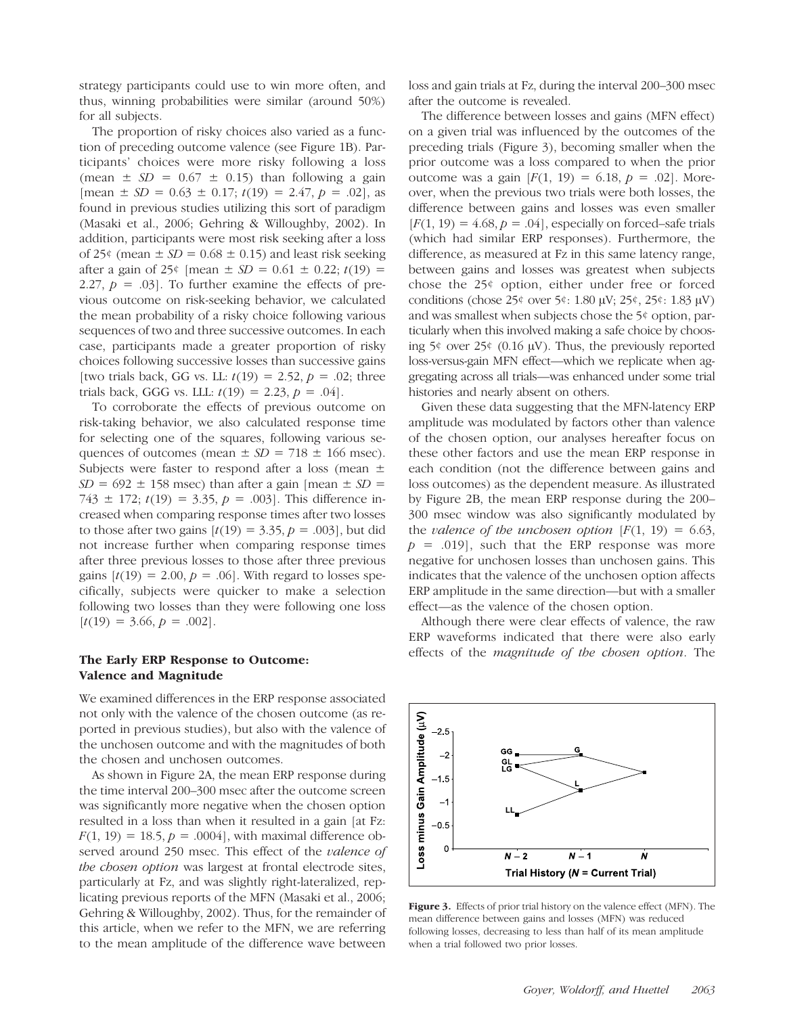strategy participants could use to win more often, and thus, winning probabilities were similar (around 50%) for all subjects.

The proportion of risky choices also varied as a function of preceding outcome valence (see Figure 1B). Participants' choices were more risky following a loss (mean  $\pm$  SD = 0.67  $\pm$  0.15) than following a gain  $[\text{mean} \pm SD = 0.63 \pm 0.17; t(19) = 2.47, p = .02],$  as found in previous studies utilizing this sort of paradigm (Masaki et al., 2006; Gehring & Willoughby, 2002). In addition, participants were most risk seeking after a loss of 25¢ (mean  $\pm SD = 0.68 \pm 0.15$ ) and least risk seeking after a gain of 25¢ [mean  $\pm SD = 0.61 \pm 0.22$ ;  $t(19) =$ 2.27,  $p = .03$ . To further examine the effects of previous outcome on risk-seeking behavior, we calculated the mean probability of a risky choice following various sequences of two and three successive outcomes. In each case, participants made a greater proportion of risky choices following successive losses than successive gains [two trials back, GG vs. LL:  $t(19) = 2.52$ ,  $p = .02$ ; three trials back, GGG vs. LLL:  $t(19) = 2.23, p = .04$ .

To corroborate the effects of previous outcome on risk-taking behavior, we also calculated response time for selecting one of the squares, following various sequences of outcomes (mean  $\pm SD = 718 \pm 166$  msec). Subjects were faster to respond after a loss (mean  $\pm$  $SD = 692 \pm 158$  msec) than after a gain [mean  $\pm SD =$ 743  $\pm$  172;  $t(19) = 3.35$ ,  $p = .003$ . This difference increased when comparing response times after two losses to those after two gains  $[t(19) = 3.35, p = .003]$ , but did not increase further when comparing response times after three previous losses to those after three previous gains  $[t(19) = 2.00, p = .06]$ . With regard to losses specifically, subjects were quicker to make a selection following two losses than they were following one loss  $[t(19) = 3.66, p = .002]$ .

#### The Early ERP Response to Outcome: Valence and Magnitude

We examined differences in the ERP response associated not only with the valence of the chosen outcome (as reported in previous studies), but also with the valence of the unchosen outcome and with the magnitudes of both the chosen and unchosen outcomes.

As shown in Figure 2A, the mean ERP response during the time interval 200–300 msec after the outcome screen was significantly more negative when the chosen option resulted in a loss than when it resulted in a gain [at Fz:  $F(1, 19) = 18.5, p = .0004$ , with maximal difference observed around 250 msec. This effect of the *valence of* the chosen option was largest at frontal electrode sites, particularly at Fz, and was slightly right-lateralized, replicating previous reports of the MFN (Masaki et al., 2006; Gehring & Willoughby, 2002). Thus, for the remainder of this article, when we refer to the MFN, we are referring to the mean amplitude of the difference wave between

loss and gain trials at Fz, during the interval 200–300 msec after the outcome is revealed.

The difference between losses and gains (MFN effect) on a given trial was influenced by the outcomes of the preceding trials (Figure 3), becoming smaller when the prior outcome was a loss compared to when the prior outcome was a gain  $[F(1, 19) = 6.18, p = .02]$ . Moreover, when the previous two trials were both losses, the difference between gains and losses was even smaller  $[F(1, 19) = 4.68, p = .04]$ , especially on forced–safe trials (which had similar ERP responses). Furthermore, the difference, as measured at Fz in this same latency range, between gains and losses was greatest when subjects chose the 25¢ option, either under free or forced conditions (chose  $25¢$  over  $5¢$ : 1.80  $\mu$ V;  $25¢$ ,  $25¢$ : 1.83  $\mu$ V) and was smallest when subjects chose the 5¢ option, particularly when this involved making a safe choice by choosing 5¢ over 25¢ (0.16  $\mu$ V). Thus, the previously reported loss-versus-gain MFN effect—which we replicate when aggregating across all trials—was enhanced under some trial histories and nearly absent on others.

Given these data suggesting that the MFN-latency ERP amplitude was modulated by factors other than valence of the chosen option, our analyses hereafter focus on these other factors and use the mean ERP response in each condition (not the difference between gains and loss outcomes) as the dependent measure. As illustrated by Figure 2B, the mean ERP response during the 200– 300 msec window was also significantly modulated by the *valence of the unchosen option*  $[F(1, 19) = 6.63]$ ,  $p = .019$ , such that the ERP response was more negative for unchosen losses than unchosen gains. This indicates that the valence of the unchosen option affects ERP amplitude in the same direction—but with a smaller effect—as the valence of the chosen option.

Although there were clear effects of valence, the raw ERP waveforms indicated that there were also early effects of the magnitude of the chosen option. The



Figure 3. Effects of prior trial history on the valence effect (MFN). The mean difference between gains and losses (MFN) was reduced following losses, decreasing to less than half of its mean amplitude when a trial followed two prior losses.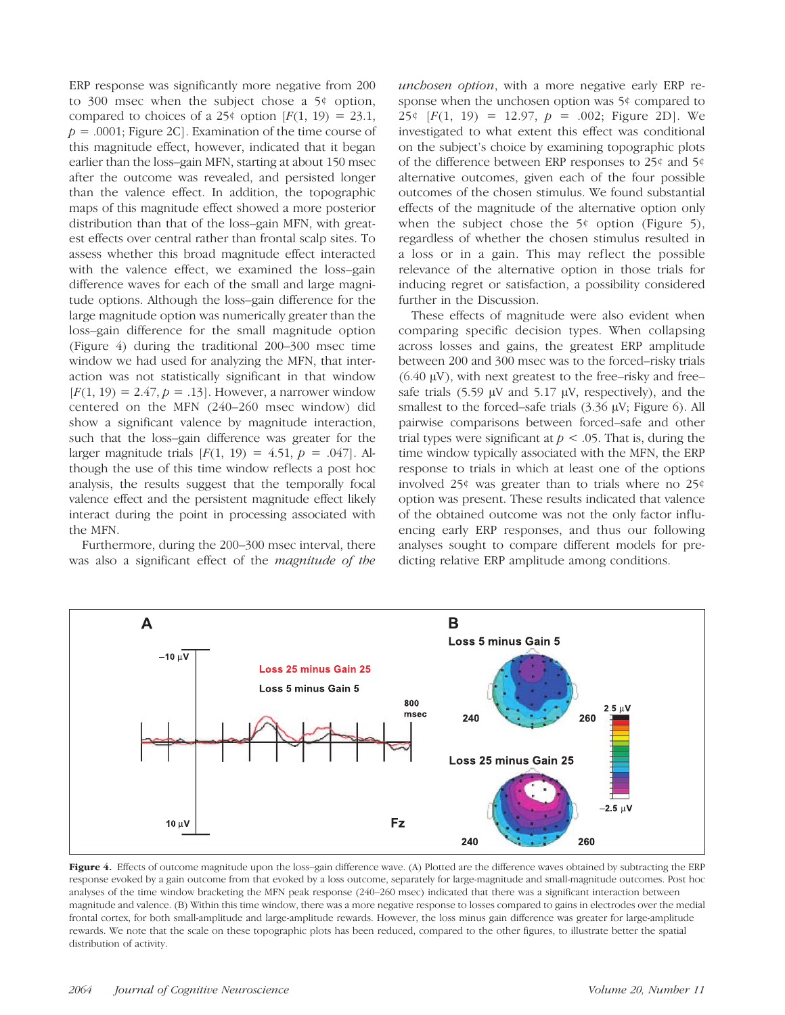ERP response was significantly more negative from 200 to 300 msec when the subject chose a 5¢ option, compared to choices of a 25¢ option  $[F(1, 19) = 23.1]$ ,  $p = .0001$ ; Figure 2C. Examination of the time course of this magnitude effect, however, indicated that it began earlier than the loss–gain MFN, starting at about 150 msec after the outcome was revealed, and persisted longer than the valence effect. In addition, the topographic maps of this magnitude effect showed a more posterior distribution than that of the loss–gain MFN, with greatest effects over central rather than frontal scalp sites. To assess whether this broad magnitude effect interacted with the valence effect, we examined the loss–gain difference waves for each of the small and large magnitude options. Although the loss–gain difference for the large magnitude option was numerically greater than the loss–gain difference for the small magnitude option (Figure 4) during the traditional 200–300 msec time window we had used for analyzing the MFN, that interaction was not statistically significant in that window  $[F(1, 19) = 2.47, p = .13]$ . However, a narrower window centered on the MFN (240–260 msec window) did show a significant valence by magnitude interaction, such that the loss–gain difference was greater for the larger magnitude trials  $[F(1, 19) = 4.51, p = .047]$ . Although the use of this time window reflects a post hoc analysis, the results suggest that the temporally focal valence effect and the persistent magnitude effect likely interact during the point in processing associated with the MFN.

Furthermore, during the 200–300 msec interval, there was also a significant effect of the magnitude of the unchosen option, with a more negative early ERP response when the unchosen option was 5¢ compared to 25¢  $[F(1, 19) = 12.97, p = .002;$  Figure 2D]. We investigated to what extent this effect was conditional on the subject's choice by examining topographic plots of the difference between ERP responses to 25¢ and 5¢ alternative outcomes, given each of the four possible outcomes of the chosen stimulus. We found substantial effects of the magnitude of the alternative option only when the subject chose the 5¢ option (Figure 5), regardless of whether the chosen stimulus resulted in a loss or in a gain. This may reflect the possible relevance of the alternative option in those trials for inducing regret or satisfaction, a possibility considered further in the Discussion.

These effects of magnitude were also evident when comparing specific decision types. When collapsing across losses and gains, the greatest ERP amplitude between 200 and 300 msec was to the forced–risky trials  $(6.40 \mu V)$ , with next greatest to the free–risky and free– safe trials  $(5.59 \mu V \text{ and } 5.17 \mu V,$  respectively), and the smallest to the forced–safe trials  $(3.36 \,\mu\text{V})$ ; Figure 6). All pairwise comparisons between forced–safe and other trial types were significant at  $p < .05$ . That is, during the time window typically associated with the MFN, the ERP response to trials in which at least one of the options involved 25¢ was greater than to trials where no 25¢ option was present. These results indicated that valence of the obtained outcome was not the only factor influencing early ERP responses, and thus our following analyses sought to compare different models for predicting relative ERP amplitude among conditions.



Figure 4. Effects of outcome magnitude upon the loss–gain difference wave. (A) Plotted are the difference waves obtained by subtracting the ERP response evoked by a gain outcome from that evoked by a loss outcome, separately for large-magnitude and small-magnitude outcomes. Post hoc analyses of the time window bracketing the MFN peak response (240–260 msec) indicated that there was a significant interaction between magnitude and valence. (B) Within this time window, there was a more negative response to losses compared to gains in electrodes over the medial frontal cortex, for both small-amplitude and large-amplitude rewards. However, the loss minus gain difference was greater for large-amplitude rewards. We note that the scale on these topographic plots has been reduced, compared to the other figures, to illustrate better the spatial distribution of activity.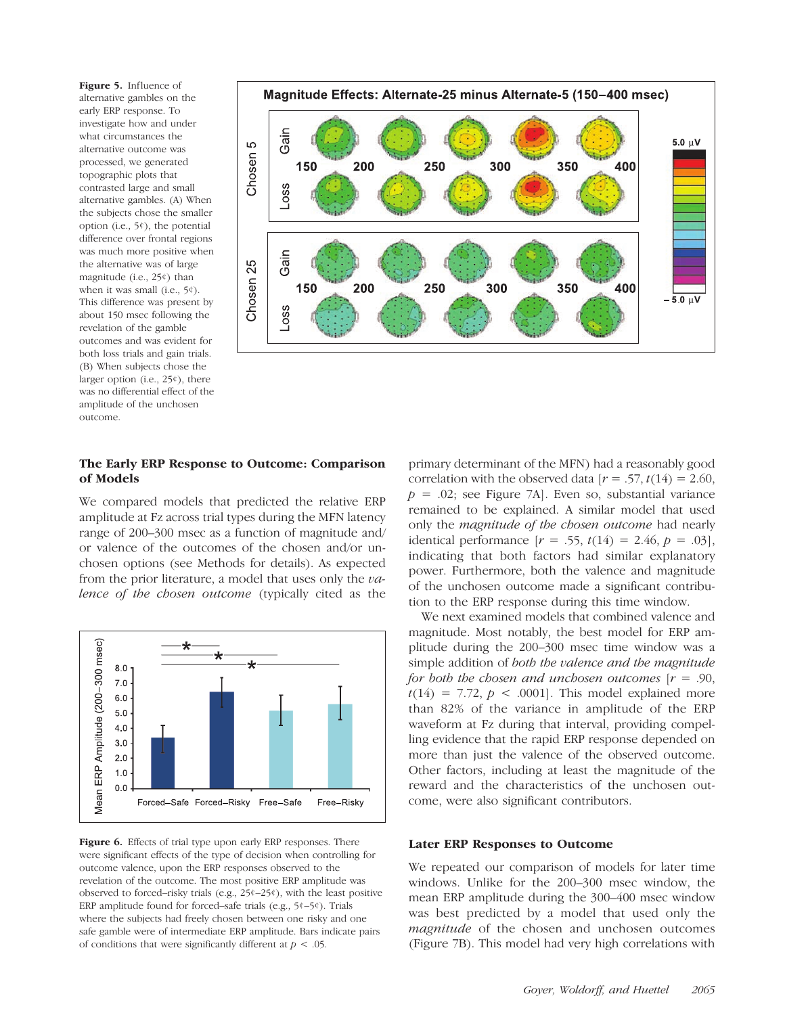Figure 5. Influence of alternative gambles on the early ERP response. To investigate how and under what circumstances the alternative outcome was processed, we generated topographic plots that contrasted large and small alternative gambles. (A) When the subjects chose the smaller option (i.e., 5¢), the potential difference over frontal regions was much more positive when the alternative was of large magnitude (i.e., 25¢) than when it was small (i.e., 5¢). This difference was present by about 150 msec following the revelation of the gamble outcomes and was evident for both loss trials and gain trials. (B) When subjects chose the larger option (i.e., 25¢), there was no differential effect of the amplitude of the unchosen outcome.



#### The Early ERP Response to Outcome: Comparison of Models

We compared models that predicted the relative ERP amplitude at Fz across trial types during the MFN latency range of 200–300 msec as a function of magnitude and/ or valence of the outcomes of the chosen and/or unchosen options (see Methods for details). As expected from the prior literature, a model that uses only the valence of the chosen outcome (typically cited as the



Figure 6. Effects of trial type upon early ERP responses. There were significant effects of the type of decision when controlling for outcome valence, upon the ERP responses observed to the revelation of the outcome. The most positive ERP amplitude was observed to forced–risky trials (e.g., 25¢–25¢), with the least positive ERP amplitude found for forced–safe trials (e.g., 5¢–5¢). Trials where the subjects had freely chosen between one risky and one safe gamble were of intermediate ERP amplitude. Bars indicate pairs of conditions that were significantly different at  $p < .05$ .

primary determinant of the MFN) had a reasonably good correlation with the observed data  $[r = .57, t(14) = 2.60]$ ,  $p = .02$ ; see Figure 7A. Even so, substantial variance remained to be explained. A similar model that used only the *magnitude of the chosen outcome* had nearly identical performance  $[r = .55, t(14) = 2.46, p = .03]$ , indicating that both factors had similar explanatory power. Furthermore, both the valence and magnitude of the unchosen outcome made a significant contribution to the ERP response during this time window.

We next examined models that combined valence and magnitude. Most notably, the best model for ERP amplitude during the 200–300 msec time window was a simple addition of both the valence and the magnitude for both the chosen and unchosen outcomes  $[r = .90]$ ,  $t(14) = 7.72$ ,  $p < .0001$ . This model explained more than 82% of the variance in amplitude of the ERP waveform at Fz during that interval, providing compelling evidence that the rapid ERP response depended on more than just the valence of the observed outcome. Other factors, including at least the magnitude of the reward and the characteristics of the unchosen outcome, were also significant contributors.

#### Later ERP Responses to Outcome

We repeated our comparison of models for later time windows. Unlike for the 200–300 msec window, the mean ERP amplitude during the 300–400 msec window was best predicted by a model that used only the magnitude of the chosen and unchosen outcomes (Figure 7B). This model had very high correlations with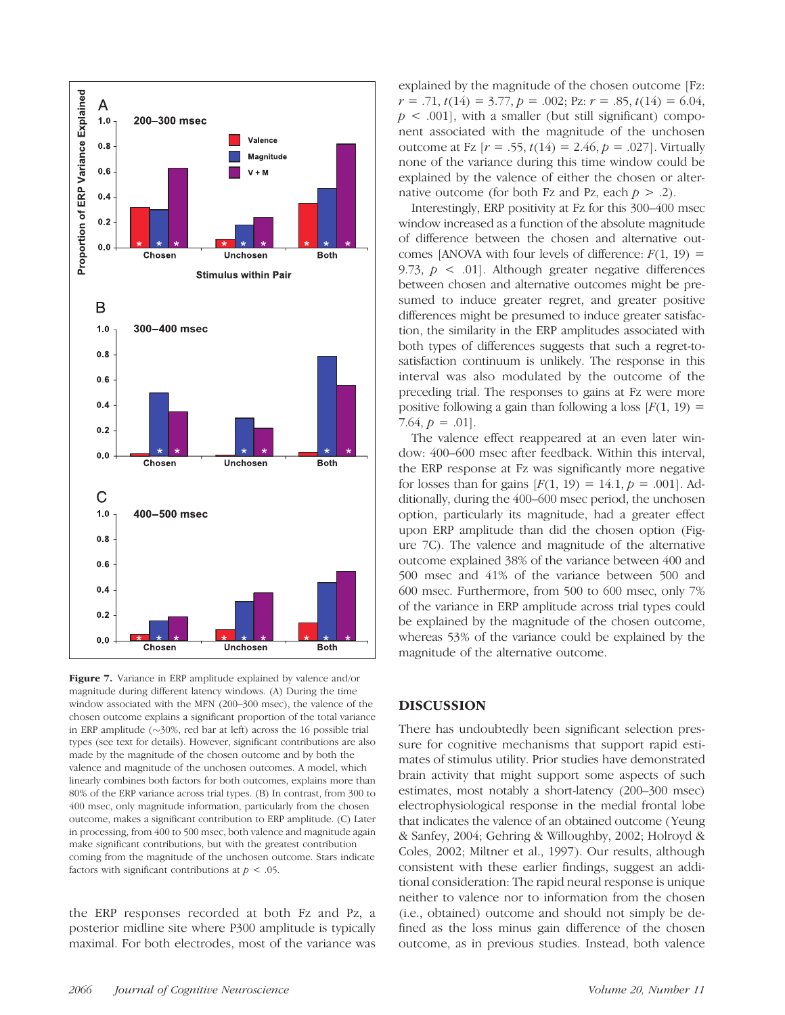

Figure 7. Variance in ERP amplitude explained by valence and/or magnitude during different latency windows. (A) During the time window associated with the MFN (200–300 msec), the valence of the chosen outcome explains a significant proportion of the total variance in ERP amplitude  $(\sim)30\%$ , red bar at left) across the 16 possible trial types (see text for details). However, significant contributions are also made by the magnitude of the chosen outcome and by both the valence and magnitude of the unchosen outcomes. A model, which linearly combines both factors for both outcomes, explains more than 80% of the ERP variance across trial types. (B) In contrast, from 300 to 400 msec, only magnitude information, particularly from the chosen outcome, makes a significant contribution to ERP amplitude. (C) Later in processing, from 400 to 500 msec, both valence and magnitude again make significant contributions, but with the greatest contribution coming from the magnitude of the unchosen outcome. Stars indicate factors with significant contributions at  $p < .05$ .

the ERP responses recorded at both Fz and Pz, a posterior midline site where P300 amplitude is typically maximal. For both electrodes, most of the variance was

explained by the magnitude of the chosen outcome [Fz:  $r = .71$ ,  $t(14) = 3.77$ ,  $p = .002$ ; Pz:  $r = .85$ ,  $t(14) = 6.04$ ,  $p < .001$ ], with a smaller (but still significant) component associated with the magnitude of the unchosen outcome at Fz  $[r = .55, t(14) = 2.46, p = .027]$ . Virtually none of the variance during this time window could be explained by the valence of either the chosen or alternative outcome (for both Fz and Pz, each  $p > .2$ ).

Interestingly, ERP positivity at Fz for this 300–400 msec window increased as a function of the absolute magnitude of difference between the chosen and alternative outcomes [ANOVA with four levels of difference:  $F(1, 19) =$ 9.73,  $p \leq 0.01$ . Although greater negative differences between chosen and alternative outcomes might be presumed to induce greater regret, and greater positive differences might be presumed to induce greater satisfaction, the similarity in the ERP amplitudes associated with both types of differences suggests that such a regret-tosatisfaction continuum is unlikely. The response in this interval was also modulated by the outcome of the preceding trial. The responses to gains at Fz were more positive following a gain than following a loss  $[F(1, 19) =$ 7.64,  $p = .01$ .

The valence effect reappeared at an even later window: 400–600 msec after feedback. Within this interval, the ERP response at Fz was significantly more negative for losses than for gains  $[F(1, 19) = 14.1, p = .001]$ . Additionally, during the 400–600 msec period, the unchosen option, particularly its magnitude, had a greater effect upon ERP amplitude than did the chosen option (Figure 7C). The valence and magnitude of the alternative outcome explained 38% of the variance between 400 and 500 msec and 41% of the variance between 500 and 600 msec. Furthermore, from 500 to 600 msec, only 7% of the variance in ERP amplitude across trial types could be explained by the magnitude of the chosen outcome, whereas 53% of the variance could be explained by the magnitude of the alternative outcome.

#### DISCUSSION

There has undoubtedly been significant selection pressure for cognitive mechanisms that support rapid estimates of stimulus utility. Prior studies have demonstrated brain activity that might support some aspects of such estimates, most notably a short-latency (200–300 msec) electrophysiological response in the medial frontal lobe that indicates the valence of an obtained outcome (Yeung & Sanfey, 2004; Gehring & Willoughby, 2002; Holroyd & Coles, 2002; Miltner et al., 1997). Our results, although consistent with these earlier findings, suggest an additional consideration: The rapid neural response is unique neither to valence nor to information from the chosen (i.e., obtained) outcome and should not simply be defined as the loss minus gain difference of the chosen outcome, as in previous studies. Instead, both valence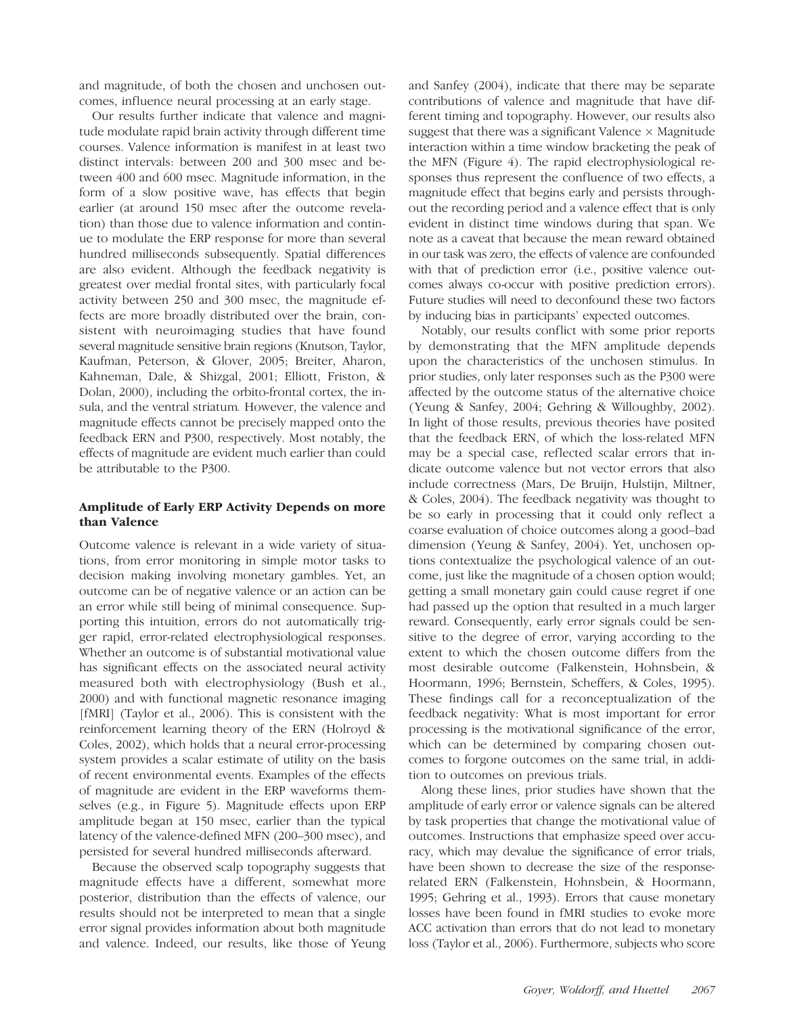and magnitude, of both the chosen and unchosen outcomes, influence neural processing at an early stage.

Our results further indicate that valence and magnitude modulate rapid brain activity through different time courses. Valence information is manifest in at least two distinct intervals: between 200 and 300 msec and between 400 and 600 msec. Magnitude information, in the form of a slow positive wave, has effects that begin earlier (at around 150 msec after the outcome revelation) than those due to valence information and continue to modulate the ERP response for more than several hundred milliseconds subsequently. Spatial differences are also evident. Although the feedback negativity is greatest over medial frontal sites, with particularly focal activity between 250 and 300 msec, the magnitude effects are more broadly distributed over the brain, consistent with neuroimaging studies that have found several magnitude sensitive brain regions (Knutson, Taylor, Kaufman, Peterson, & Glover, 2005; Breiter, Aharon, Kahneman, Dale, & Shizgal, 2001; Elliott, Friston, & Dolan, 2000), including the orbito-frontal cortex, the insula, and the ventral striatum. However, the valence and magnitude effects cannot be precisely mapped onto the feedback ERN and P300, respectively. Most notably, the effects of magnitude are evident much earlier than could be attributable to the P300.

## Amplitude of Early ERP Activity Depends on more than Valence

Outcome valence is relevant in a wide variety of situations, from error monitoring in simple motor tasks to decision making involving monetary gambles. Yet, an outcome can be of negative valence or an action can be an error while still being of minimal consequence. Supporting this intuition, errors do not automatically trigger rapid, error-related electrophysiological responses. Whether an outcome is of substantial motivational value has significant effects on the associated neural activity measured both with electrophysiology (Bush et al., 2000) and with functional magnetic resonance imaging [fMRI] (Taylor et al., 2006). This is consistent with the reinforcement learning theory of the ERN (Holroyd & Coles, 2002), which holds that a neural error-processing system provides a scalar estimate of utility on the basis of recent environmental events. Examples of the effects of magnitude are evident in the ERP waveforms themselves (e.g., in Figure 5). Magnitude effects upon ERP amplitude began at 150 msec, earlier than the typical latency of the valence-defined MFN (200–300 msec), and persisted for several hundred milliseconds afterward.

Because the observed scalp topography suggests that magnitude effects have a different, somewhat more posterior, distribution than the effects of valence, our results should not be interpreted to mean that a single error signal provides information about both magnitude and valence. Indeed, our results, like those of Yeung and Sanfey (2004), indicate that there may be separate contributions of valence and magnitude that have different timing and topography. However, our results also suggest that there was a significant Valence  $\times$  Magnitude interaction within a time window bracketing the peak of the MFN (Figure 4). The rapid electrophysiological responses thus represent the confluence of two effects, a magnitude effect that begins early and persists throughout the recording period and a valence effect that is only evident in distinct time windows during that span. We note as a caveat that because the mean reward obtained in our task was zero, the effects of valence are confounded with that of prediction error *(i.e., positive valence out*comes always co-occur with positive prediction errors). Future studies will need to deconfound these two factors by inducing bias in participants' expected outcomes.

Notably, our results conflict with some prior reports by demonstrating that the MFN amplitude depends upon the characteristics of the unchosen stimulus. In prior studies, only later responses such as the P300 were affected by the outcome status of the alternative choice (Yeung & Sanfey, 2004; Gehring & Willoughby, 2002). In light of those results, previous theories have posited that the feedback ERN, of which the loss-related MFN may be a special case, reflected scalar errors that indicate outcome valence but not vector errors that also include correctness (Mars, De Bruijn, Hulstijn, Miltner, & Coles, 2004). The feedback negativity was thought to be so early in processing that it could only reflect a coarse evaluation of choice outcomes along a good–bad dimension (Yeung & Sanfey, 2004). Yet, unchosen options contextualize the psychological valence of an outcome, just like the magnitude of a chosen option would; getting a small monetary gain could cause regret if one had passed up the option that resulted in a much larger reward. Consequently, early error signals could be sensitive to the degree of error, varying according to the extent to which the chosen outcome differs from the most desirable outcome (Falkenstein, Hohnsbein, & Hoormann, 1996; Bernstein, Scheffers, & Coles, 1995). These findings call for a reconceptualization of the feedback negativity: What is most important for error processing is the motivational significance of the error, which can be determined by comparing chosen outcomes to forgone outcomes on the same trial, in addition to outcomes on previous trials.

Along these lines, prior studies have shown that the amplitude of early error or valence signals can be altered by task properties that change the motivational value of outcomes. Instructions that emphasize speed over accuracy, which may devalue the significance of error trials, have been shown to decrease the size of the responserelated ERN (Falkenstein, Hohnsbein, & Hoormann, 1995; Gehring et al., 1993). Errors that cause monetary losses have been found in fMRI studies to evoke more ACC activation than errors that do not lead to monetary loss (Taylor et al., 2006). Furthermore, subjects who score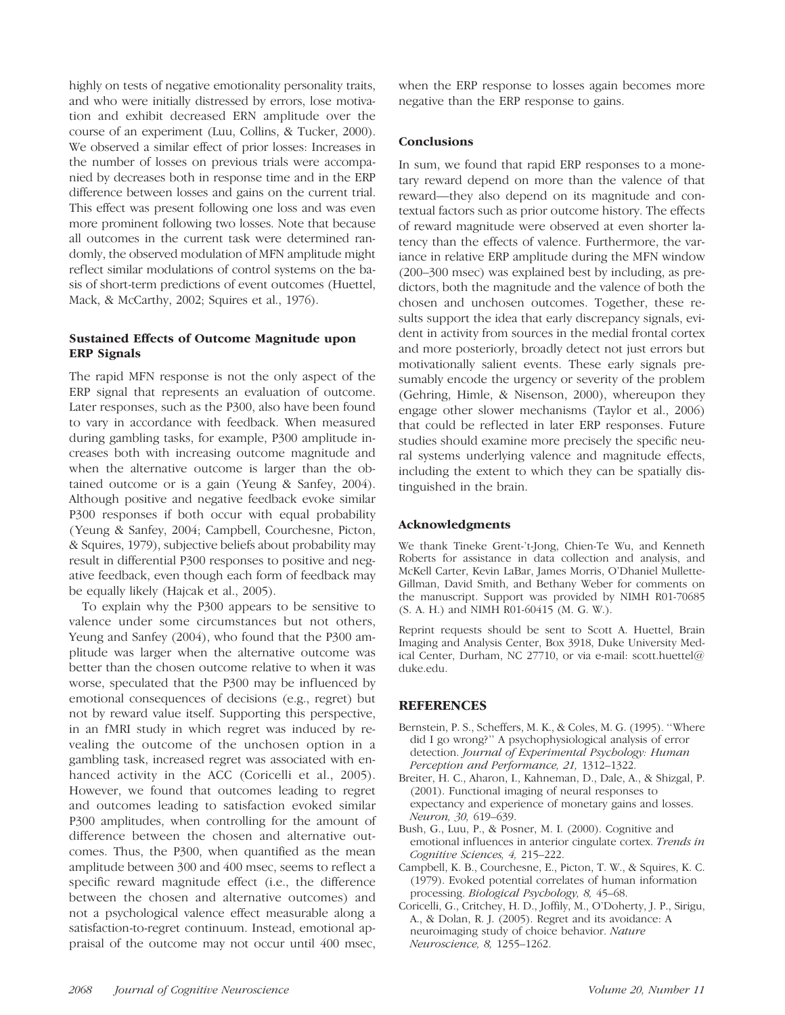highly on tests of negative emotionality personality traits, and who were initially distressed by errors, lose motivation and exhibit decreased ERN amplitude over the course of an experiment (Luu, Collins, & Tucker, 2000). We observed a similar effect of prior losses: Increases in the number of losses on previous trials were accompanied by decreases both in response time and in the ERP difference between losses and gains on the current trial. This effect was present following one loss and was even more prominent following two losses. Note that because all outcomes in the current task were determined randomly, the observed modulation of MFN amplitude might reflect similar modulations of control systems on the basis of short-term predictions of event outcomes (Huettel, Mack, & McCarthy, 2002; Squires et al., 1976).

## Sustained Effects of Outcome Magnitude upon ERP Signals

The rapid MFN response is not the only aspect of the ERP signal that represents an evaluation of outcome. Later responses, such as the P300, also have been found to vary in accordance with feedback. When measured during gambling tasks, for example, P300 amplitude increases both with increasing outcome magnitude and when the alternative outcome is larger than the obtained outcome or is a gain (Yeung & Sanfey, 2004). Although positive and negative feedback evoke similar P300 responses if both occur with equal probability (Yeung & Sanfey, 2004; Campbell, Courchesne, Picton, & Squires, 1979), subjective beliefs about probability may result in differential P300 responses to positive and negative feedback, even though each form of feedback may be equally likely (Hajcak et al., 2005).

To explain why the P300 appears to be sensitive to valence under some circumstances but not others, Yeung and Sanfey (2004), who found that the P300 amplitude was larger when the alternative outcome was better than the chosen outcome relative to when it was worse, speculated that the P300 may be influenced by emotional consequences of decisions (e.g., regret) but not by reward value itself. Supporting this perspective, in an fMRI study in which regret was induced by revealing the outcome of the unchosen option in a gambling task, increased regret was associated with enhanced activity in the ACC (Coricelli et al., 2005). However, we found that outcomes leading to regret and outcomes leading to satisfaction evoked similar P300 amplitudes, when controlling for the amount of difference between the chosen and alternative outcomes. Thus, the P300, when quantified as the mean amplitude between 300 and 400 msec, seems to reflect a specific reward magnitude effect (i.e., the difference between the chosen and alternative outcomes) and not a psychological valence effect measurable along a satisfaction-to-regret continuum. Instead, emotional appraisal of the outcome may not occur until 400 msec, when the ERP response to losses again becomes more negative than the ERP response to gains.

#### **Conclusions**

In sum, we found that rapid ERP responses to a monetary reward depend on more than the valence of that reward—they also depend on its magnitude and contextual factors such as prior outcome history. The effects of reward magnitude were observed at even shorter latency than the effects of valence. Furthermore, the variance in relative ERP amplitude during the MFN window (200–300 msec) was explained best by including, as predictors, both the magnitude and the valence of both the chosen and unchosen outcomes. Together, these results support the idea that early discrepancy signals, evident in activity from sources in the medial frontal cortex and more posteriorly, broadly detect not just errors but motivationally salient events. These early signals presumably encode the urgency or severity of the problem (Gehring, Himle, & Nisenson, 2000), whereupon they engage other slower mechanisms (Taylor et al., 2006) that could be reflected in later ERP responses. Future studies should examine more precisely the specific neural systems underlying valence and magnitude effects, including the extent to which they can be spatially distinguished in the brain.

#### Acknowledgments

We thank Tineke Grent-'t-Jong, Chien-Te Wu, and Kenneth Roberts for assistance in data collection and analysis, and McKell Carter, Kevin LaBar, James Morris, O'Dhaniel Mullette-Gillman, David Smith, and Bethany Weber for comments on the manuscript. Support was provided by NIMH R01-70685 (S. A. H.) and NIMH R01-60415 (M. G. W.).

Reprint requests should be sent to Scott A. Huettel, Brain Imaging and Analysis Center, Box 3918, Duke University Medical Center, Durham, NC 27710, or via e-mail: scott.huettel@ duke.edu.

#### REFERENCES

- Bernstein, P. S., Scheffers, M. K., & Coles, M. G. (1995). ''Where did I go wrong?'' A psychophysiological analysis of error detection. Journal of Experimental Psychology: Human Perception and Performance, 21, 1312–1322.
- Breiter, H. C., Aharon, I., Kahneman, D., Dale, A., & Shizgal, P. (2001). Functional imaging of neural responses to expectancy and experience of monetary gains and losses. Neuron, 30, 619–639.
- Bush, G., Luu, P., & Posner, M. I. (2000). Cognitive and emotional influences in anterior cingulate cortex. Trends in Cognitive Sciences, 4, 215–222.
- Campbell, K. B., Courchesne, E., Picton, T. W., & Squires, K. C. (1979). Evoked potential correlates of human information processing. Biological Psychology, 8, 45–68.
- Coricelli, G., Critchey, H. D., Joffily, M., O'Doherty, J. P., Sirigu, A., & Dolan, R. J. (2005). Regret and its avoidance: A neuroimaging study of choice behavior. Nature Neuroscience, 8, 1255–1262.